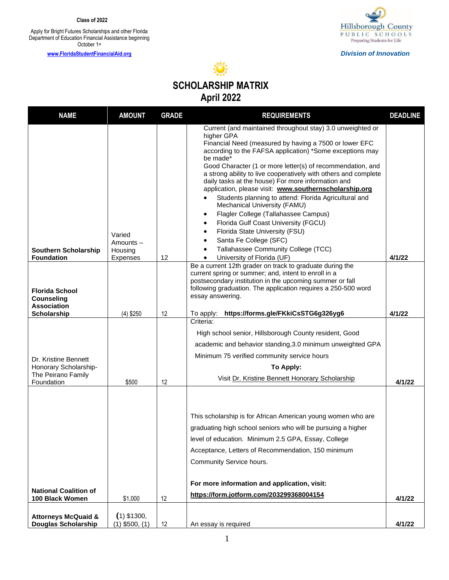**Class of 2022**

Apply for Bright Futures Scholarships and other Florida Department of Education Financial Assistance beginning October 1st

**[www.FloridaStudentFinancialAid.org](http://www.floridastudentfinancialaid.org/)**



*Division of Innovation*



| <b>NAME</b>                                                                       | <b>AMOUNT</b>                             | <b>GRADE</b> | <b>REQUIREMENTS</b>                                                                                                                                                                                                                                                                                                                                                                                                                                                                                                                                                                                                                                                                                                                                                                                                                    | <b>DEADLINE</b> |
|-----------------------------------------------------------------------------------|-------------------------------------------|--------------|----------------------------------------------------------------------------------------------------------------------------------------------------------------------------------------------------------------------------------------------------------------------------------------------------------------------------------------------------------------------------------------------------------------------------------------------------------------------------------------------------------------------------------------------------------------------------------------------------------------------------------------------------------------------------------------------------------------------------------------------------------------------------------------------------------------------------------------|-----------------|
| <b>Southern Scholarship</b><br><b>Foundation</b>                                  | Varied<br>Amounts-<br>Housing<br>Expenses | 12           | Current (and maintained throughout stay) 3.0 unweighted or<br>higher GPA<br>Financial Need (measured by having a 7500 or lower EFC<br>according to the FAFSA application) *Some exceptions may<br>be made*<br>Good Character (1 or more letter(s) of recommendation, and<br>a strong ability to live cooperatively with others and complete<br>daily tasks at the house) For more information and<br>application, please visit: www.southernscholarship.org<br>Students planning to attend: Florida Agricultural and<br>Mechanical University (FAMU)<br>Flagler College (Tallahassee Campus)<br>$\bullet$<br>Florida Gulf Coast University (FGCU)<br>$\bullet$<br>Florida State University (FSU)<br>$\bullet$<br>Santa Fe College (SFC)<br>$\bullet$<br>Tallahassee Community College (TCC)<br>University of Florida (UF)<br>$\bullet$ | 4/1/22          |
| <b>Florida School</b><br><b>Counseling</b><br><b>Association</b><br>Scholarship   | $(4)$ \$250                               | 12           | Be a current 12th grader on track to graduate during the<br>current spring or summer; and, intent to enroll in a<br>postsecondary institution in the upcoming summer or fall<br>following graduation. The application requires a 250-500 word<br>essay answering.<br>https://forms.gle/FKkiCsSTG6g326yg6<br>To apply:                                                                                                                                                                                                                                                                                                                                                                                                                                                                                                                  | 4/1/22          |
| Dr. Kristine Bennett<br>Honorary Scholarship-<br>The Peirano Family<br>Foundation | \$500                                     | 12           | Criteria:<br>High school senior, Hillsborough County resident, Good<br>academic and behavior standing, 3.0 minimum unweighted GPA<br>Minimum 75 verified community service hours<br>To Apply:<br>Visit Dr. Kristine Bennett Honorary Scholarship                                                                                                                                                                                                                                                                                                                                                                                                                                                                                                                                                                                       | 4/1/22          |
| <b>National Coalition of</b>                                                      |                                           |              | This scholarship is for African American young women who are<br>graduating high school seniors who will be pursuing a higher<br>level of education. Minimum 2.5 GPA, Essay, College<br>Acceptance, Letters of Recommendation, 150 minimum<br>Community Service hours.<br>For more information and application, visit:                                                                                                                                                                                                                                                                                                                                                                                                                                                                                                                  |                 |
| 100 Black Women                                                                   | \$1,000                                   | 12           | https://form.jotform.com/203299368004154                                                                                                                                                                                                                                                                                                                                                                                                                                                                                                                                                                                                                                                                                                                                                                                               | 4/1/22          |
| <b>Attorneys McQuaid &amp;</b><br><b>Douglas Scholarship</b>                      | $(1)$ \$1300,<br>$(1)$ \$500, $(1)$       | 12           | An essay is required                                                                                                                                                                                                                                                                                                                                                                                                                                                                                                                                                                                                                                                                                                                                                                                                                   | 4/1/22          |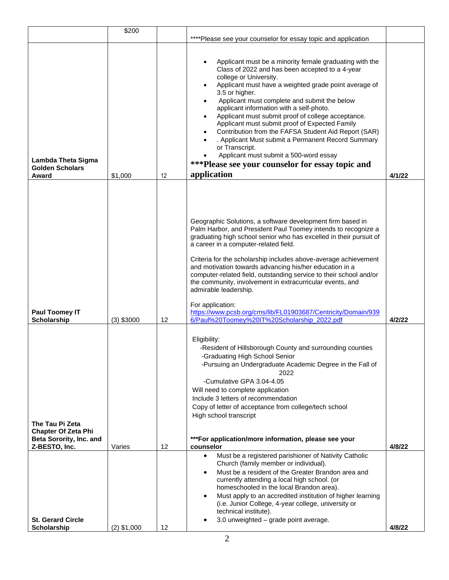|                                                          | \$200                   |          |                                                                                                                                                                                                                                                                                                                                                                                                                                                                                                                                                                                                                                                                                                                                   |                  |
|----------------------------------------------------------|-------------------------|----------|-----------------------------------------------------------------------------------------------------------------------------------------------------------------------------------------------------------------------------------------------------------------------------------------------------------------------------------------------------------------------------------------------------------------------------------------------------------------------------------------------------------------------------------------------------------------------------------------------------------------------------------------------------------------------------------------------------------------------------------|------------------|
|                                                          |                         |          | ****Please see your counselor for essay topic and application                                                                                                                                                                                                                                                                                                                                                                                                                                                                                                                                                                                                                                                                     |                  |
| Lambda Theta Sigma<br><b>Golden Scholars</b><br>Award    | \$1,000                 | 12       | Applicant must be a minority female graduating with the<br>$\bullet$<br>Class of 2022 and has been accepted to a 4-year<br>college or University.<br>Applicant must have a weighted grade point average of<br>$\bullet$<br>3.5 or higher.<br>Applicant must complete and submit the below<br>$\bullet$<br>applicant information with a self-photo.<br>Applicant must submit proof of college acceptance.<br>$\bullet$<br>Applicant must submit proof of Expected Family<br>Contribution from the FAFSA Student Aid Report (SAR)<br>$\bullet$<br>. Applicant Must submit a Permanent Record Summary<br>or Transcript.<br>Applicant must submit a 500-word essay<br>***Please see your counselor for essay topic and<br>application | 4/1/22           |
|                                                          |                         |          |                                                                                                                                                                                                                                                                                                                                                                                                                                                                                                                                                                                                                                                                                                                                   |                  |
| Paul Toomey IT                                           |                         |          | Geographic Solutions, a software development firm based in<br>Palm Harbor, and President Paul Toomey intends to recognize a<br>graduating high school senior who has excelled in their pursuit of<br>a career in a computer-related field.<br>Criteria for the scholarship includes above-average achievement<br>and motivation towards advancing his/her education in a<br>computer-related field, outstanding service to their school and/or<br>the community, involvement in extracurricular events, and<br>admirable leadership.<br>For application:<br>https://www.pcsb.org/cms/lib/FL01903687/Centricity/Domain/939                                                                                                         |                  |
| Scholarship                                              | $(3)$ \$3000            | 12       | 6/Paul%20Toomey%20IT%20Scholarship_2022.pdf                                                                                                                                                                                                                                                                                                                                                                                                                                                                                                                                                                                                                                                                                       | 4/2/22           |
| The Tau Pi Zeta<br><b>Chapter Of Zeta Phi</b>            |                         |          | Eligibility:<br>-Resident of Hillsborough County and surrounding counties<br>-Graduating High School Senior<br>-Pursuing an Undergraduate Academic Degree in the Fall of<br>2022<br>-Cumulative GPA 3.04-4.05<br>Will need to complete application<br>Include 3 letters of recommendation<br>Copy of letter of acceptance from college/tech school<br>High school transcript                                                                                                                                                                                                                                                                                                                                                      |                  |
| Beta Sorority, Inc. and                                  |                         |          | ***For application/more information, please see your                                                                                                                                                                                                                                                                                                                                                                                                                                                                                                                                                                                                                                                                              |                  |
| Z-BESTO, Inc.<br><b>St. Gerard Circle</b><br>Scholarship | Varies<br>$(2)$ \$1,000 | 12<br>12 | counselor<br>Must be a registered parishioner of Nativity Catholic<br>$\bullet$<br>Church (family member or individual).<br>Must be a resident of the Greater Brandon area and<br>$\bullet$<br>currently attending a local high school. (or<br>homeschooled in the local Brandon area).<br>Must apply to an accredited institution of higher learning<br>$\bullet$<br>(i.e. Junior College, 4-year college, university or<br>technical institute).<br>3.0 unweighted - grade point average.                                                                                                                                                                                                                                       | 4/8/22<br>4/8/22 |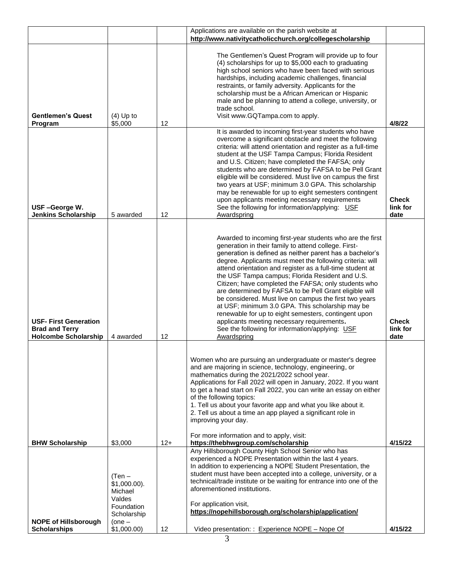|                                                                                      |                                                                                          |       | Applications are available on the parish website at                                                                                                                                                                                                                                                                                                                                                                                                                                                                                                                                                                                                                                                                                                                |                                  |
|--------------------------------------------------------------------------------------|------------------------------------------------------------------------------------------|-------|--------------------------------------------------------------------------------------------------------------------------------------------------------------------------------------------------------------------------------------------------------------------------------------------------------------------------------------------------------------------------------------------------------------------------------------------------------------------------------------------------------------------------------------------------------------------------------------------------------------------------------------------------------------------------------------------------------------------------------------------------------------------|----------------------------------|
|                                                                                      |                                                                                          |       | http://www.nativitycatholicchurch.org/collegescholarship                                                                                                                                                                                                                                                                                                                                                                                                                                                                                                                                                                                                                                                                                                           |                                  |
| <b>Gentlemen's Quest</b><br>Program                                                  | $(4)$ Up to<br>\$5,000                                                                   | 12    | The Gentlemen's Quest Program will provide up to four<br>(4) scholarships for up to \$5,000 each to graduating<br>high school seniors who have been faced with serious<br>hardships, including academic challenges, financial<br>restraints, or family adversity. Applicants for the<br>scholarship must be a African American or Hispanic<br>male and be planning to attend a college, university, or<br>trade school.<br>Visit www.GQTampa.com to apply.                                                                                                                                                                                                                                                                                                         | 4/8/22                           |
| USF-George W.<br><b>Jenkins Scholarship</b>                                          | 5 awarded                                                                                | 12    | It is awarded to incoming first-year students who have<br>overcome a significant obstacle and meet the following<br>criteria: will attend orientation and register as a full-time<br>student at the USF Tampa Campus; Florida Resident<br>and U.S. Citizen; have completed the FAFSA; only<br>students who are determined by FAFSA to be Pell Grant<br>eligible will be considered. Must live on campus the first<br>two years at USF; minimum 3.0 GPA. This scholarship<br>may be renewable for up to eight semesters contingent<br>upon applicants meeting necessary requirements<br>See the following for information/applying: USF<br>Awardspring                                                                                                              | <b>Check</b><br>link for<br>date |
|                                                                                      |                                                                                          |       |                                                                                                                                                                                                                                                                                                                                                                                                                                                                                                                                                                                                                                                                                                                                                                    |                                  |
| <b>USF- First Generation</b><br><b>Brad and Terry</b><br><b>Holcombe Scholarship</b> | 4 awarded                                                                                | 12    | Awarded to incoming first-year students who are the first<br>generation in their family to attend college. First-<br>generation is defined as neither parent has a bachelor's<br>degree. Applicants must meet the following criteria: will<br>attend orientation and register as a full-time student at<br>the USF Tampa campus; Florida Resident and U.S.<br>Citizen; have completed the FAFSA; only students who<br>are determined by FAFSA to be Pell Grant eligible will<br>be considered. Must live on campus the first two years<br>at USF; minimum 3.0 GPA. This scholarship may be<br>renewable for up to eight semesters, contingent upon<br>applicants meeting necessary requirements.<br>See the following for information/applying: USF<br>Awardspring | <b>Check</b><br>link for<br>date |
|                                                                                      |                                                                                          |       | Women who are pursuing an undergraduate or master's degree<br>and are majoring in science, technology, engineering, or<br>mathematics during the 2021/2022 school year.<br>Applications for Fall 2022 will open in January, 2022. If you want<br>to get a head start on Fall 2022, you can write an essay on either<br>of the following topics:<br>1. Tell us about your favorite app and what you like about it.<br>2. Tell us about a time an app played a significant role in<br>improving your day.<br>For more information and to apply, visit:                                                                                                                                                                                                               |                                  |
| <b>BHW Scholarship</b>                                                               | \$3,000                                                                                  | $12+$ | https://thebhwgroup.com/scholarship                                                                                                                                                                                                                                                                                                                                                                                                                                                                                                                                                                                                                                                                                                                                | 4/15/22                          |
| <b>NOPE of Hillsborough</b>                                                          | $(Ten -$<br>$$1,000.00$ ).<br>Michael<br>Valdes<br>Foundation<br>Scholarship<br>$(one -$ |       | Any Hillsborough County High School Senior who has<br>experienced a NOPE Presentation within the last 4 years.<br>In addition to experiencing a NOPE Student Presentation, the<br>student must have been accepted into a college, university, or a<br>technical/trade institute or be waiting for entrance into one of the<br>aforementioned institutions.<br>For application visit,<br>https://nopehillsborough.org/scholarship/application/                                                                                                                                                                                                                                                                                                                      |                                  |
| <b>Scholarships</b>                                                                  | \$1,000.00)                                                                              | 12    | Video presentation: : Experience NOPE - Nope Of                                                                                                                                                                                                                                                                                                                                                                                                                                                                                                                                                                                                                                                                                                                    | 4/15/22                          |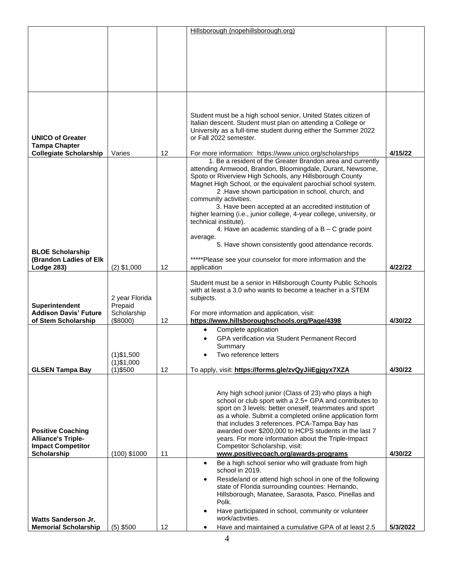|                                                       |                        |    | Hillsborough (nopehillsborough.org)                                                                                            |          |
|-------------------------------------------------------|------------------------|----|--------------------------------------------------------------------------------------------------------------------------------|----------|
|                                                       |                        |    |                                                                                                                                |          |
|                                                       |                        |    |                                                                                                                                |          |
|                                                       |                        |    |                                                                                                                                |          |
|                                                       |                        |    |                                                                                                                                |          |
|                                                       |                        |    |                                                                                                                                |          |
|                                                       |                        |    |                                                                                                                                |          |
|                                                       |                        |    |                                                                                                                                |          |
|                                                       |                        |    |                                                                                                                                |          |
|                                                       |                        |    | Student must be a high school senior, United States citizen of<br>Italian descent. Student must plan on attending a College or |          |
|                                                       |                        |    | University as a full-time student during either the Summer 2022                                                                |          |
| <b>UNICO of Greater</b>                               |                        |    | or Fall 2022 semester.                                                                                                         |          |
| <b>Tampa Chapter</b><br><b>Collegiate Scholarship</b> | Varies                 | 12 | For more information: https://www.unico.org/scholarships                                                                       | 4/15/22  |
|                                                       |                        |    | 1. Be a resident of the Greater Brandon area and currently                                                                     |          |
|                                                       |                        |    | attending Armwood, Brandon, Bloomingdale, Durant, Newsome,                                                                     |          |
|                                                       |                        |    | Spoto or Riverview High Schools, any Hillsborough County                                                                       |          |
|                                                       |                        |    | Magnet High School, or the equivalent parochial school system.<br>2 .Have shown participation in school, church, and           |          |
|                                                       |                        |    | community activities.                                                                                                          |          |
|                                                       |                        |    | 3. Have been accepted at an accredited institution of                                                                          |          |
|                                                       |                        |    | higher learning (i.e., junior college, 4-year college, university, or<br>technical institute).                                 |          |
|                                                       |                        |    | 4. Have an academic standing of $a B - C$ grade point                                                                          |          |
|                                                       |                        |    | average.                                                                                                                       |          |
| <b>BLOE Scholarship</b>                               |                        |    | 5. Have shown consistently good attendance records.                                                                            |          |
| (Brandon Ladies of Elk                                |                        |    | *****Please see your counselor for more information and the                                                                    |          |
| Lodge 283)                                            | $(2)$ \$1,000          | 12 | application                                                                                                                    | 4/22/22  |
|                                                       |                        |    | Student must be a senior in Hillsborough County Public Schools                                                                 |          |
|                                                       |                        |    | with at least a 3.0 who wants to become a teacher in a STEM                                                                    |          |
|                                                       | 2 year Florida         |    | subjects.                                                                                                                      |          |
| Superintendent<br><b>Addison Davis' Future</b>        | Prepaid<br>Scholarship |    | For more information and application, visit:                                                                                   |          |
| of Stem Scholarship                                   | (\$8000)               | 12 | https://www.hillsboroughschools.org/Page/4398                                                                                  | 4/30/22  |
|                                                       |                        |    | Complete application<br>$\bullet$                                                                                              |          |
|                                                       |                        |    | <b>GPA verification via Student Permanent Record</b><br>Summary                                                                |          |
|                                                       | $(1)$ \$1,500          |    | Two reference letters                                                                                                          |          |
|                                                       | $(1)$ \$1,000          |    |                                                                                                                                |          |
| <b>GLSEN Tampa Bay</b>                                | $(1)$ \$500            | 12 | To apply, visit: https://forms.gle/zvQyJiiEgjqyx7XZA                                                                           | 4/30/22  |
|                                                       |                        |    |                                                                                                                                |          |
|                                                       |                        |    | Any high school junior (Class of 23) who plays a high                                                                          |          |
|                                                       |                        |    | school or club sport with a 2.5+ GPA and contributes to                                                                        |          |
|                                                       |                        |    | sport on 3 levels: better oneself, teammates and sport<br>as a whole. Submit a completed online application form               |          |
|                                                       |                        |    | that includes 3 references. PCA-Tampa Bay has                                                                                  |          |
| <b>Positive Coaching</b>                              |                        |    | awarded over \$200,000 to HCPS students in the last 7                                                                          |          |
| <b>Alliance's Triple-</b><br><b>Impact Competitor</b> |                        |    | years. For more information about the Triple-Impact<br>Competitor Scholarship, visit:                                          |          |
| Scholarship                                           | $(100)$ \$1000         | 11 | www.positivecoach.org/awards-programs                                                                                          | 4/30/22  |
|                                                       |                        |    | Be a high school senior who will graduate from high<br>$\bullet$<br>school in 2019.                                            |          |
|                                                       |                        |    | Reside/and or attend high school in one of the following<br>$\bullet$                                                          |          |
|                                                       |                        |    | state of Florida surrounding counties: Hernando,                                                                               |          |
|                                                       |                        |    | Hillsborough, Manatee, Sarasota, Pasco, Pinellas and<br>Polk.                                                                  |          |
|                                                       |                        |    | Have participated in school, community or volunteer<br>$\bullet$                                                               |          |
| <b>Watts Sanderson Jr.</b>                            |                        |    | work/activities.                                                                                                               |          |
| <b>Memorial Scholarship</b>                           | $(5)$ \$500            | 12 | Have and maintained a cumulative GPA of at least 2.5<br>٠                                                                      | 5/3/2022 |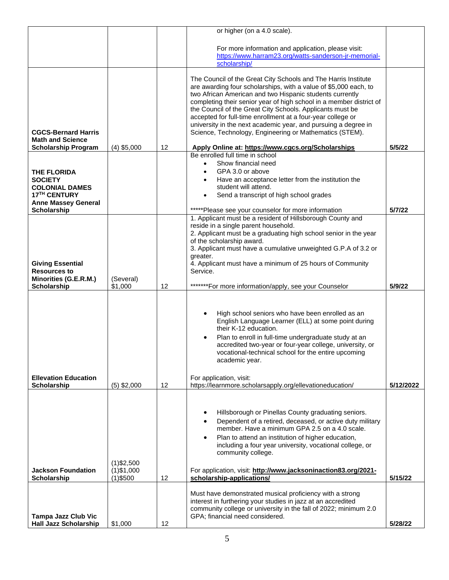|                                                                                                                         |                                |    | or higher (on a 4.0 scale).                                                                                                                                                                                                                                                                                                                                                                                                                                                                                                    |           |
|-------------------------------------------------------------------------------------------------------------------------|--------------------------------|----|--------------------------------------------------------------------------------------------------------------------------------------------------------------------------------------------------------------------------------------------------------------------------------------------------------------------------------------------------------------------------------------------------------------------------------------------------------------------------------------------------------------------------------|-----------|
|                                                                                                                         |                                |    | For more information and application, please visit:<br>https://www.harram23.org/watts-sanderson-jr-memorial-<br>scholarship/                                                                                                                                                                                                                                                                                                                                                                                                   |           |
| <b>CGCS-Bernard Harris</b><br><b>Math and Science</b>                                                                   |                                |    | The Council of the Great City Schools and The Harris Institute<br>are awarding four scholarships, with a value of \$5,000 each, to<br>two African American and two Hispanic students currently<br>completing their senior year of high school in a member district of<br>the Council of the Great City Schools. Applicants must be<br>accepted for full-time enrollment at a four-year college or<br>university in the next academic year, and pursuing a degree in<br>Science, Technology, Engineering or Mathematics (STEM). |           |
| <b>Scholarship Program</b>                                                                                              | $(4)$ \$5,000                  | 12 | Apply Online at: https://www.cgcs.org/Scholarships                                                                                                                                                                                                                                                                                                                                                                                                                                                                             | 5/5/22    |
| <b>THE FLORIDA</b><br><b>SOCIETY</b><br><b>COLONIAL DAMES</b><br>17 <sup>TH</sup> CENTURY<br><b>Anne Massey General</b> |                                |    | Be enrolled full time in school<br>Show financial need<br>$\bullet$<br>GPA 3.0 or above<br>Have an acceptance letter from the institution the<br>student will attend.<br>Send a transcript of high school grades<br>$\bullet$                                                                                                                                                                                                                                                                                                  |           |
| Scholarship                                                                                                             |                                |    | *****Please see your counselor for more information<br>1. Applicant must be a resident of Hillsborough County and                                                                                                                                                                                                                                                                                                                                                                                                              | 5/7/22    |
| <b>Giving Essential</b>                                                                                                 |                                |    | reside in a single parent household.<br>2. Applicant must be a graduating high school senior in the year<br>of the scholarship award.<br>3. Applicant must have a cumulative unweighted G.P.A of 3.2 or<br>greater.<br>4. Applicant must have a minimum of 25 hours of Community                                                                                                                                                                                                                                               |           |
| <b>Resources to</b><br>Minorities (G.E.R.M.)                                                                            | (Several)                      |    | Service.                                                                                                                                                                                                                                                                                                                                                                                                                                                                                                                       |           |
|                                                                                                                         |                                |    |                                                                                                                                                                                                                                                                                                                                                                                                                                                                                                                                |           |
| Scholarship                                                                                                             | \$1,000                        | 12 | *******For more information/apply, see your Counselor                                                                                                                                                                                                                                                                                                                                                                                                                                                                          | 5/9/22    |
|                                                                                                                         |                                |    | High school seniors who have been enrolled as an<br>٠<br>English Language Learner (ELL) at some point during<br>their K-12 education.<br>Plan to enroll in full-time undergraduate study at an<br>$\bullet$<br>accredited two-year or four-year college, university, or<br>vocational-technical school for the entire upcoming<br>academic year.                                                                                                                                                                               |           |
| <b>Ellevation Education</b>                                                                                             |                                |    | For application, visit:                                                                                                                                                                                                                                                                                                                                                                                                                                                                                                        |           |
| Scholarship                                                                                                             | $(5)$ \$2,000                  | 12 | https://learnmore.scholarsapply.org/ellevationeducation/<br>Hillsborough or Pinellas County graduating seniors.<br>Dependent of a retired, deceased, or active duty military<br>member. Have a minimum GPA 2.5 on a 4.0 scale.<br>Plan to attend an institution of higher education,<br>$\bullet$<br>including a four year university, vocational college, or<br>community college.                                                                                                                                            | 5/12/2022 |
| <b>Jackson Foundation</b>                                                                                               | $(1)$ \$2,500<br>$(1)$ \$1,000 |    | For application, visit: http://www.jacksoninaction83.org/2021-                                                                                                                                                                                                                                                                                                                                                                                                                                                                 |           |
| Scholarship                                                                                                             | $(1)$ \$500                    | 12 | scholarship-applications/                                                                                                                                                                                                                                                                                                                                                                                                                                                                                                      | 5/15/22   |
| <b>Tampa Jazz Club Vic</b><br><b>Hall Jazz Scholarship</b>                                                              | \$1,000                        | 12 | Must have demonstrated musical proficiency with a strong<br>interest in furthering your studies in jazz at an accredited<br>community college or university in the fall of 2022; minimum 2.0<br>GPA; financial need considered.                                                                                                                                                                                                                                                                                                | 5/28/22   |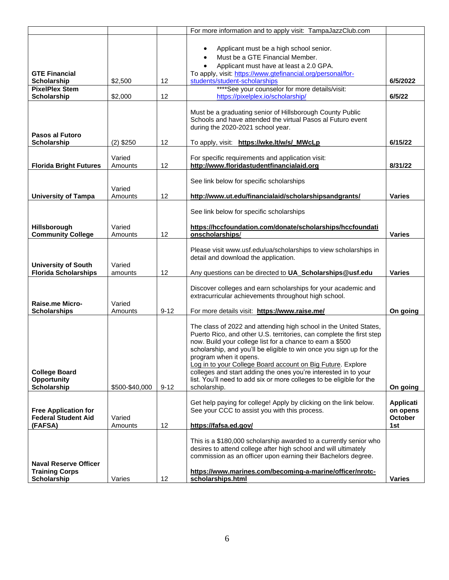|                                                                                    |                    |          | For more information and to apply visit: TampaJazzClub.com                                                                                                                                                                                                                                                                                                                                                                                                                                                                        |                                                       |
|------------------------------------------------------------------------------------|--------------------|----------|-----------------------------------------------------------------------------------------------------------------------------------------------------------------------------------------------------------------------------------------------------------------------------------------------------------------------------------------------------------------------------------------------------------------------------------------------------------------------------------------------------------------------------------|-------------------------------------------------------|
| <b>GTE Financial</b><br>Scholarship<br><b>PixelPlex Stem</b><br><b>Scholarship</b> | \$2,500<br>\$2,000 | 12<br>12 | Applicant must be a high school senior.<br>$\bullet$<br>Must be a GTE Financial Member.<br>Applicant must have at least a 2.0 GPA.<br>To apply, visit: https://www.gtefinancial.org/personal/for-<br>students/student-scholarships<br>****See your counselor for more details/visit:<br>https://pixelplex.io/scholarship/                                                                                                                                                                                                         | 6/5/2022<br>6/5/22                                    |
|                                                                                    |                    |          |                                                                                                                                                                                                                                                                                                                                                                                                                                                                                                                                   |                                                       |
| Pasos al Futoro<br>Scholarship                                                     | $(2)$ \$250        | 12       | Must be a graduating senior of Hillsborough County Public<br>Schools and have attended the virtual Pasos al Futuro event<br>during the 2020-2021 school year.<br>To apply, visit: https://wke.lt/w/s/_MWcLp                                                                                                                                                                                                                                                                                                                       | 6/15/22                                               |
|                                                                                    |                    |          |                                                                                                                                                                                                                                                                                                                                                                                                                                                                                                                                   |                                                       |
| <b>Florida Bright Futures</b>                                                      | Varied<br>Amounts  | 12       | For specific requirements and application visit:<br>http://www.floridastudentfinancialaid.org                                                                                                                                                                                                                                                                                                                                                                                                                                     | 8/31/22                                               |
| <b>University of Tampa</b>                                                         | Varied<br>Amounts  | 12       | See link below for specific scholarships<br>http://www.ut.edu/financialaid/scholarshipsandgrants/                                                                                                                                                                                                                                                                                                                                                                                                                                 | <b>Varies</b>                                         |
|                                                                                    |                    |          |                                                                                                                                                                                                                                                                                                                                                                                                                                                                                                                                   |                                                       |
| Hillsborough<br><b>Community College</b>                                           | Varied<br>Amounts  | 12       | See link below for specific scholarships<br>https://hccfoundation.com/donate/scholarships/hccfoundati<br>onscholarships/                                                                                                                                                                                                                                                                                                                                                                                                          | <b>Varies</b>                                         |
| <b>University of South</b><br><b>Florida Scholarships</b>                          | Varied<br>amounts  | 12       | Please visit www.usf.edu/ua/scholarships to view scholarships in<br>detail and download the application.<br>Any questions can be directed to UA_Scholarships@usf.edu                                                                                                                                                                                                                                                                                                                                                              | <b>Varies</b>                                         |
| Raise.me Micro-<br><b>Scholarships</b>                                             | Varied<br>Amounts  | $9 - 12$ | Discover colleges and earn scholarships for your academic and<br>extracurricular achievements throughout high school.<br>For more details visit: https://www.raise.me/                                                                                                                                                                                                                                                                                                                                                            | On going                                              |
| <b>College Board</b><br><b>Opportunity</b><br><b>Scholarship</b>                   | \$500-\$40,000     | $9 - 12$ | The class of 2022 and attending high school in the United States,<br>Puerto Rico, and other U.S. territories, can complete the first step<br>now. Build your college list for a chance to earn a \$500<br>scholarship, and you'll be eligible to win once you sign up for the<br>program when it opens.<br>Log in to your College Board account on Big Future. Explore<br>colleges and start adding the ones you're interested in to your<br>list. You'll need to add six or more colleges to be eligible for the<br>scholarship. | On going                                              |
| <b>Free Application for</b><br><b>Federal Student Aid</b><br>(FAFSA)               | Varied<br>Amounts  | 12       | Get help paying for college! Apply by clicking on the link below.<br>See your CCC to assist you with this process.<br>https://fafsa.ed.gov/                                                                                                                                                                                                                                                                                                                                                                                       | <b>Applicati</b><br>on opens<br><b>October</b><br>1st |
| <b>Naval Reserve Officer</b><br><b>Training Corps</b><br><b>Scholarship</b>        | Varies             | 12       | This is a \$180,000 scholarship awarded to a currently senior who<br>desires to attend college after high school and will ultimately<br>commission as an officer upon earning their Bachelors degree.<br>https://www.marines.com/becoming-a-marine/officer/nrotc-<br>scholarships.html                                                                                                                                                                                                                                            | <b>Varies</b>                                         |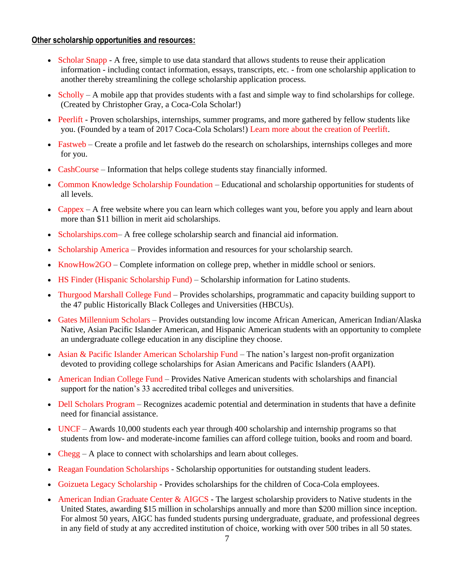## **Other scholarship opportunities and resources:**

- [Scholar Snapp](http://www.scholarsnapp.org/) A free, simple to use data standard that allows students to reuse their application information - including contact information, essays, transcripts, etc. - from one scholarship application to another thereby streamlining the college scholarship application process.
- [Scholly](https://www.myscholly.com/) A mobile app that provides students with a fast and simple way to find scholarships for college. (Created by Christopher Gray, a Coca-Cola Scholar!)
- [Peerlift](http://peerlift.org/) Proven scholarships, internships, summer programs, and more gathered by fellow students like you. (Founded by a team of 2017 Coca-Cola Scholars!) [Learn more about the creation of Peerlift.](https://www.coca-colascholarsfoundation.org/blog/sam-gorman-increasing-college-access-peerlift/)
- [Fastweb](http://www.fastweb.com/) Create a profile and let fastweb do the research on scholarships, internships colleges and more for you.
- [CashCourse](http://www.cashcourse.org/) Information that helps college students stay financially informed.
- [Common Knowledge Scholarship Foundation](http://www.cksf.org/) Educational and scholarship opportunities for students of all levels.
- [Cappex –](http://www.cappex.com/) A free website where you can learn which colleges want you, before you apply and learn about more than \$11 billion in merit aid scholarships.
- [Scholarships.com–](http://www.scholarships.com/) A free college scholarship search and financial aid information.
- [Scholarship America](http://www.scholarshipamerica.org/) Provides information and resources for your scholarship search.
- [KnowHow2GO –](http://www.knowhow2go.org/) Complete information on college prep, whether in middle school or seniors.
- [HS Finder \(Hispanic Scholarship Fund\)](http://www.latinocollegedollars.org/) Scholarship information for Latino students.
- [Thurgood Marshall College Fund](http://www.thurgoodmarshallfund.net/) Provides scholarships, programmatic and capacity building support to the 47 public Historically Black Colleges and Universities (HBCUs).
- [Gates Millennium Scholars](http://www.gmsp.org/) Provides outstanding low income African American, American Indian/Alaska Native, Asian Pacific Islander American, and Hispanic American students with an opportunity to complete an undergraduate college education in any discipline they choose.
- [Asian & Pacific Islander American Scholarship Fund](http://www.apiasf.org/scholarship_apiasf.html) The nation's largest non-profit organization devoted to providing college scholarships for Asian Americans and Pacific Islanders (AAPI).
- [American Indian College Fund](http://www.collegefund.org/) Provides Native American students with scholarships and financial support for the nation's 33 accredited tribal colleges and universities.
- [Dell Scholars Program](http://www.dellscholars.org/) Recognizes academic potential and determination in students that have a definite need for financial assistance.
- [UNCF](http://www.uncf.org/) Awards 10,000 students each year through 400 scholarship and internship programs so that students from low- and moderate-income families can afford college tuition, books and room and board.
- [Chegg](https://www.chegg.com/scholarships) A place to connect with scholarships and learn about colleges.
- [Reagan Foundation Scholarships](https://www.reaganfoundation.org/education/scholarship-programs/) Scholarship opportunities for outstanding student leaders.
- [Goizueta Legacy Scholarship](http://www.goizuetafoundation.org/goizueta-legacy-scholarships/) Provides scholarships for the children of Coca-Cola employees.
- [American Indian Graduate Center & AIGCS](http://www.aigcs.org/) The largest scholarship providers to Native students in the United States, awarding \$15 million in scholarships annually and more than \$200 million since inception. For almost 50 years, AIGC has funded students pursing undergraduate, graduate, and professional degrees in any field of study at any accredited institution of choice, working with over 500 tribes in all 50 states.